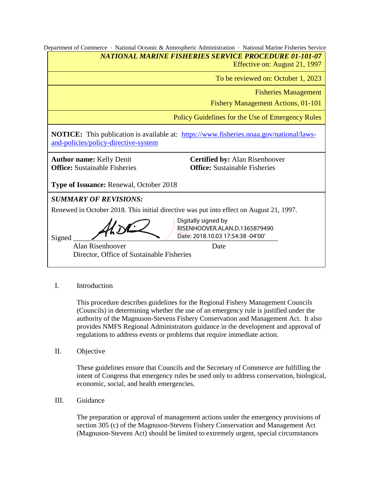|                                                                                                                                        | Department of Commerce · National Oceanic & Atmospheric Administration · National Marine Fisheries Service |  |  |  |  |  |  |
|----------------------------------------------------------------------------------------------------------------------------------------|------------------------------------------------------------------------------------------------------------|--|--|--|--|--|--|
|                                                                                                                                        | <b>NATIONAL MARINE FISHERIES SERVICE PROCEDURE 01-101-07</b>                                               |  |  |  |  |  |  |
| Effective on: August 21, 1997                                                                                                          |                                                                                                            |  |  |  |  |  |  |
|                                                                                                                                        | To be reviewed on: October 1, 2023                                                                         |  |  |  |  |  |  |
|                                                                                                                                        | <b>Fisheries Management</b>                                                                                |  |  |  |  |  |  |
| <b>Fishery Management Actions, 01-101</b>                                                                                              |                                                                                                            |  |  |  |  |  |  |
| Policy Guidelines for the Use of Emergency Rules                                                                                       |                                                                                                            |  |  |  |  |  |  |
| <b>NOTICE:</b> This publication is available at: https://www.fisheries.noaa.gov/national/laws-<br>and-policies/policy-directive-system |                                                                                                            |  |  |  |  |  |  |
| <b>Certified by: Alan Risenhoover</b><br><b>Author name: Kelly Denit</b>                                                               |                                                                                                            |  |  |  |  |  |  |
| <b>Office:</b> Sustainable Fisheries                                                                                                   | <b>Office:</b> Sustainable Fisheries                                                                       |  |  |  |  |  |  |
| <b>Type of Issuance: Renewal, October 2018</b>                                                                                         |                                                                                                            |  |  |  |  |  |  |
| <b>SUMMARY OF REVISIONS:</b>                                                                                                           |                                                                                                            |  |  |  |  |  |  |
| Renewed in October 2018. This initial directive was put into effect on August 21, 1997.                                                |                                                                                                            |  |  |  |  |  |  |
| Signed                                                                                                                                 | Digitally signed by<br>RISENHOOVER.ALAN.D.1365879490<br>Date: 2018.10.03 17:54:38 -04'00'                  |  |  |  |  |  |  |
| Alan Risenhoover                                                                                                                       | Date                                                                                                       |  |  |  |  |  |  |
| Director, Office of Sustainable Fisheries                                                                                              |                                                                                                            |  |  |  |  |  |  |
|                                                                                                                                        |                                                                                                            |  |  |  |  |  |  |

# I. Introduction

This procedure describes guidelines for the Regional Fishery Management Councils (Councils) in determining whether the use of an emergency rule is justified under the authority of the Magnuson-Stevens Fishery Conservation and Management Act. It also provides NMFS Regional Administrators guidance in the development and approval of regulations to address events or problems that require immediate action.

II. Objective

These guidelines ensure that Councils and the Secretary of Commerce are fulfilling the intent of Congress that emergency rules be used only to address conservation, biological, economic, social, and health emergencies.

III. Guidance

The preparation or approval of management actions under the emergency provisions of section 305 (c) of the Magnuson-Stevens Fishery Conservation and Management Act (Magnuson-Stevens Act) should be limited to extremely urgent, special circumstances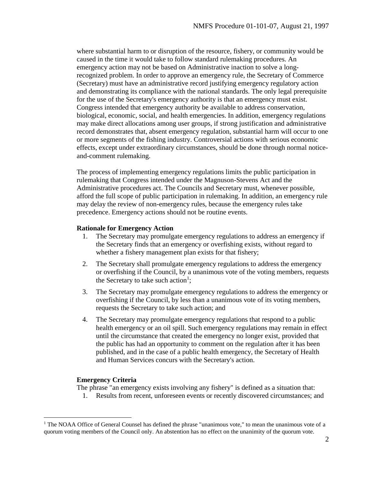where substantial harm to or disruption of the resource, fishery, or community would be caused in the time it would take to follow standard rulemaking procedures. An emergency action may not be based on Administrative inaction to solve a longrecognized problem. In order to approve an emergency rule, the Secretary of Commerce (Secretary) must have an administrative record justifying emergency regulatory action and demonstrating its compliance with the national standards. The only legal prerequisite for the use of the Secretary's emergency authority is that an emergency must exist. Congress intended that emergency authority be available to address conservation, biological, economic, social, and health emergencies. In addition, emergency regulations may make direct allocations among user groups, if strong justification and administrative record demonstrates that, absent emergency regulation, substantial harm will occur to one or more segments of the fishing industry. Controversial actions with serious economic effects, except under extraordinary circumstances, should be done through normal noticeand-comment rulemaking.

The process of implementing emergency regulations limits the public participation in rulemaking that Congress intended under the Magnuson-Stevens Act and the Administrative procedures act. The Councils and Secretary must, whenever possible, afford the full scope of public participation in rulemaking. In addition, an emergency rule may delay the review of non-emergency rules, because the emergency rules take precedence. Emergency actions should not be routine events.

## **Rationale for Emergency Action**

- 1. The Secretary may promulgate emergency regulations to address an emergency if the Secretary finds that an emergency or overfishing exists, without regard to whether a fishery management plan exists for that fishery;
- 2. The Secretary shall promulgate emergency regulations to address the emergency or overfishing if the Council, by a unanimous vote of the voting members, requests the Secretary to take such action<sup>1</sup>;
- 3. The Secretary may promulgate emergency regulations to address the emergency or overfishing if the Council, by less than a unanimous vote of its voting members, requests the Secretary to take such action; and
- 4. The Secretary may promulgate emergency regulations that respond to a public health emergency or an oil spill. Such emergency regulations may remain in effect until the circumstance that created the emergency no longer exist, provided that the public has had an opportunity to comment on the regulation after it has been published, and in the case of a public health emergency, the Secretary of Health and Human Services concurs with the Secretary's action.

## **Emergency Criteria**

 $\overline{a}$ 

The phrase "an emergency exists involving any fishery" is defined as a situation that:

1. Results from recent, unforeseen events or recently discovered circumstances; and

<sup>&</sup>lt;sup>1</sup> The NOAA Office of General Counsel has defined the phrase "unanimous vote," to mean the unanimous vote of a quorum voting members of the Council only. An abstention has no effect on the unanimity of the quorum vote.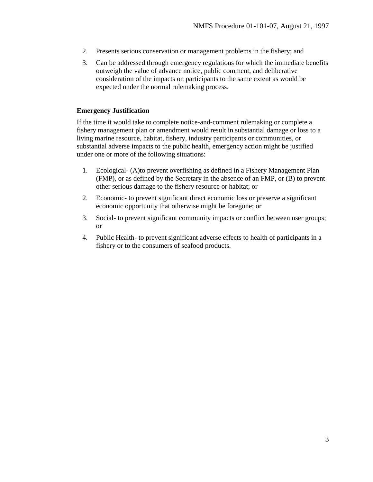- 2. Presents serious conservation or management problems in the fishery; and
- 3. Can be addressed through emergency regulations for which the immediate benefits outweigh the value of advance notice, public comment, and deliberative consideration of the impacts on participants to the same extent as would be expected under the normal rulemaking process.

## **Emergency Justification**

If the time it would take to complete notice-and-comment rulemaking or complete a fishery management plan or amendment would result in substantial damage or loss to a living marine resource, habitat, fishery, industry participants or communities, or substantial adverse impacts to the public health, emergency action might be justified under one or more of the following situations:

- 1. Ecological- (A)to prevent overfishing as defined in a Fishery Management Plan (FMP), or as defined by the Secretary in the absence of an FMP, or (B) to prevent other serious damage to the fishery resource or habitat; or
- 2. Economic- to prevent significant direct economic loss or preserve a significant economic opportunity that otherwise might be foregone; or
- 3. Social- to prevent significant community impacts or conflict between user groups; or
- 4. Public Health- to prevent significant adverse effects to health of participants in a fishery or to the consumers of seafood products.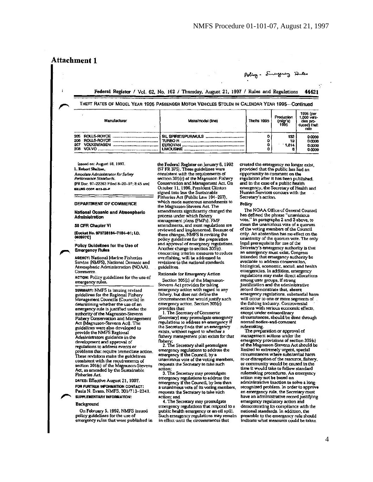## **Attachment 1**

## Aoling. Emergency Panles

Federal Register / Vol. 62, No. 162 / Thursday, August 21, 1997 / Rules and Regulations 44421

### THEFT RATES OF MODEL YEAR 1995 PASSENGER MOTOR VEHICLES STOLEN IN CALENDAR YEAR 1995--Continued

|     | Manufacturer | Make/model (line) | Thefts 1995 | Production<br>(mfgr's)<br>1995 | 1995 (per<br>1,000 vehi-<br>cles pro-<br>duced) theft<br>rate |
|-----|--------------|-------------------|-------------|--------------------------------|---------------------------------------------------------------|
| 205 | ROLLS-ROYCE  |                   |             | 132                            | 0.0000                                                        |
|     |              |                   |             |                                | 0.0000                                                        |
| 207 | VOLKSWAGEN   | <b>EUROVAN</b>    |             | 1,814                          | 0.0000                                                        |
| 208 | VOLVO        | <b>LIMOUSINE</b>  |             |                                | 0.0000                                                        |

Issued on: August 18, 1997. L. Robert Shelton, **Associate Administrator for Safety** Performance Standards. [FR Doc. 97-22263 Filed 8-20-97; 8:45 am] **BELING CODE 4910-69-P** 

DEPARTMENT OF COMMERCE

**National Oceanic and Atmospheric Administration** 

50 CFR Chapter VI

[Docket No. 970728184-7184-01; I.D. 060997C1

Policy Guidelines for the Use of **Emergency Rules** 

**AGENCY: National Marine Fisheries** Service (NMFS), National Oceanic and Atmospheric Administration (NOAA), Commerce

ACTION: Policy guidelines for the use of emergency rules.

SUMMARY: NMFS is issuing revised guidelines for the Regional Fishery Management Councils (Councils) in determining whether the use of an energency rule is justified under the<br>authority of the Magnuson-Stevens Fishery Conservation and Management<br>Act (Magnuson-Stevens Act). The guidelines were also developed to provide the NMFS Regional Administrators guidance in the development and approval of regulations to address events or problems that require immediate action.<br>These revisions make the guidelines consistent with the requirements of<br>section 305(c) of the Magnuson-Stevens<br>Act, as amended by the Sustainable **Fisheries Act.** 

DATES: Effective August 21, 1997. FOR FURTHER INFORMATION CONTACT: Paula N. Evans, NMFS, 301/713-2341. SUPPLEMENTARY INFORMATION:

#### **Background**

On February 5. 1992, NMFS issued policy guidelines for the use of emergency rules that were published in the Federal Register on January 6, 1992 (57 FR 375). These guidelines were consistent with the requirements of<br>section 305(c) of the Magnuson Fishery Conservation and Management Act. On October 11, 1996, President Clinton signed into law the Sustainable Fisheries Act (Public Law 104-297) which made numerous amendments to the Magnuson-Stevens Act. The amendments significantly changed the process under which fishery management plans (FMPs), FMP amendments, and most regulations are reviewed and implemented. Because of these changes, NMFS is revising the policy guidelines for the preparation and approval of emergency regulations. Another change to section 305(c), concerning interim measures to reduce<br>overfishing, will be addressed in<br>revisions to the national standards guidelines.

Rationale for Emergency Action

Section 305(c) of the Magnuson-Stevens Act provides for taking emergency action with regard to any fishery, but does not define the circumstances that would justify such emergency action. Section 305(c) provides that:

1. The Secretary of Commerce (Secretary) may promulgate emergency<br>regulations to address an emergency if the Secretary finds that an emergency exists, without regard to whether a fishery management plan exists for that

fishery;<br>2. The Secretary shall promulgate emergency regulations to address the emergency if the Council, by a unanimous vote of the voting members, requests the Secretary to take such action:

3. The Secretary may promulgate emergency regulations to address the emergency if the Council, by less than a unanimous vote of its voting members, requests the Secretary to take such action; and

4. The Secretary may promulgate emergency regulations that respond to a public health emergency or an oil spill. Such emergency regulations may remain in effect until the circumstances that

created the emergency no longer exist,<br>provided that the public has had an opportunity to comment on the regulation after it has been published, and in the case of a public health emergency, the Secretary of Health and Human Services concurs with the Secretary's action.

#### Policy

The NOAA Office of General Counsel has defined the phrase "unanimous vote," in paragraphs 2 and 3 above, to mean the unanimous vote of a quorum of the voting members of the Council only. An abstention has no effect on the unanimity of the quorum vote. The only<br>legal prerequisite for use of the Secretary's emergency authority is that<br>an emergency must exist. Congress intended that emergency authority be available to address conservation, biological, economic, social, and health emergencies. In addition, emergency regulations may make direct allocations among user groups, if strong<br>justification and the administrative record demonstrate that, absent emergency regulations, substantial harm will occur to one or more segments of the fishing industry. Controversial actions with serious economic effects. except under extraordinary circumstances, should be done through normal notice-and-comment

rulemaking.<br>The preparation or approval of management actions under the emergency provisions of section 305(c) of the Magnuson-Stevens Act should be limited to extremely urgent, special circumstances where substantial harm to or disruption of the resource, fishery, or community would be caused in the<br>time it would take to follow standard rulemaking procedures. An emergency action may not be based on administrative inaction to solve a longrecognized problem. In order to approve an emergency rule, the Secretary must have an administrative record justifying emergency regulatory action and demonstrating its compliance with the<br>national standards. In addition, the preamble to the emergency rule should indicate what measures could be taken